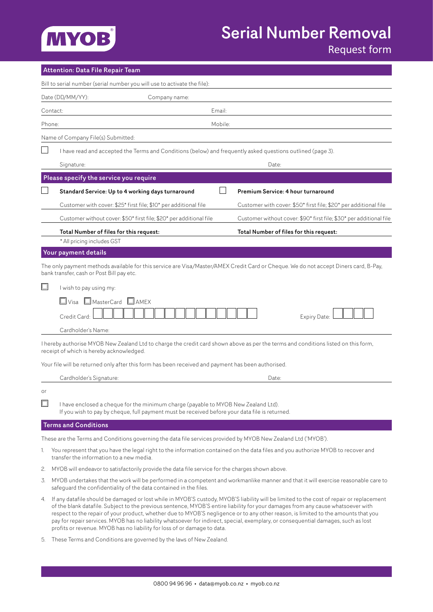# MYOB

### Serial Number Removal

Request form

| Attention: Data File Repair Team |                                                                                                                                                                                                                                                                                                                                                                                                                                                                                                                                                                                                                                      |                                                                     |  |
|----------------------------------|--------------------------------------------------------------------------------------------------------------------------------------------------------------------------------------------------------------------------------------------------------------------------------------------------------------------------------------------------------------------------------------------------------------------------------------------------------------------------------------------------------------------------------------------------------------------------------------------------------------------------------------|---------------------------------------------------------------------|--|
|                                  | Bill to serial number (serial number you will use to activate the file):                                                                                                                                                                                                                                                                                                                                                                                                                                                                                                                                                             |                                                                     |  |
|                                  | Date (DD/MM/YY):<br>Company name:                                                                                                                                                                                                                                                                                                                                                                                                                                                                                                                                                                                                    |                                                                     |  |
|                                  | Contact:<br>Email:                                                                                                                                                                                                                                                                                                                                                                                                                                                                                                                                                                                                                   |                                                                     |  |
| Mobile:<br>Phone:                |                                                                                                                                                                                                                                                                                                                                                                                                                                                                                                                                                                                                                                      |                                                                     |  |
|                                  | Name of Company File(s) Submitted:                                                                                                                                                                                                                                                                                                                                                                                                                                                                                                                                                                                                   |                                                                     |  |
|                                  | I have read and accepted the Terms and Conditions (below) and frequently asked questions outlined (page 3).                                                                                                                                                                                                                                                                                                                                                                                                                                                                                                                          |                                                                     |  |
|                                  | Signature:                                                                                                                                                                                                                                                                                                                                                                                                                                                                                                                                                                                                                           | Date:                                                               |  |
|                                  | Please specify the service you require                                                                                                                                                                                                                                                                                                                                                                                                                                                                                                                                                                                               |                                                                     |  |
|                                  | Standard Service: Up to 4 working days turnaround                                                                                                                                                                                                                                                                                                                                                                                                                                                                                                                                                                                    | Premium Service: 4 hour turnaround                                  |  |
|                                  | Customer with cover: \$25* first file; \$10* per additional file                                                                                                                                                                                                                                                                                                                                                                                                                                                                                                                                                                     | Customer with cover: \$50* first file; \$20* per additional file    |  |
|                                  | Customer without cover: \$50* first file; \$20* per additional file                                                                                                                                                                                                                                                                                                                                                                                                                                                                                                                                                                  | Customer without cover: \$90* first file; \$30* per additional file |  |
|                                  | Total Number of files for this request:                                                                                                                                                                                                                                                                                                                                                                                                                                                                                                                                                                                              | Total Number of files for this request:                             |  |
|                                  | * All pricing includes GST                                                                                                                                                                                                                                                                                                                                                                                                                                                                                                                                                                                                           |                                                                     |  |
|                                  | Your payment details                                                                                                                                                                                                                                                                                                                                                                                                                                                                                                                                                                                                                 |                                                                     |  |
|                                  | The only payment methods available for this service are Visa/Master/AMEX Credit Card or Cheque. We do not accept Diners card, B-Pay,<br>bank transfer, cash or Post Bill pay etc.                                                                                                                                                                                                                                                                                                                                                                                                                                                    |                                                                     |  |
|                                  | I wish to pay using my:                                                                                                                                                                                                                                                                                                                                                                                                                                                                                                                                                                                                              |                                                                     |  |
|                                  | $\Box$ Visa $\Box$ MasterCard<br>$\Box$ AMEX                                                                                                                                                                                                                                                                                                                                                                                                                                                                                                                                                                                         |                                                                     |  |
|                                  | Credit Card:                                                                                                                                                                                                                                                                                                                                                                                                                                                                                                                                                                                                                         | Expiry Date:                                                        |  |
|                                  | Cardholder's Name:                                                                                                                                                                                                                                                                                                                                                                                                                                                                                                                                                                                                                   |                                                                     |  |
|                                  | I hereby authorise MYOB New Zealand Ltd to charge the credit card shown above as per the terms and conditions listed on this form,<br>receipt of which is hereby acknowledged.                                                                                                                                                                                                                                                                                                                                                                                                                                                       |                                                                     |  |
|                                  | Your file will be returned only after this form has been received and payment has been authorised.                                                                                                                                                                                                                                                                                                                                                                                                                                                                                                                                   |                                                                     |  |
|                                  | Cardholder's Signature:                                                                                                                                                                                                                                                                                                                                                                                                                                                                                                                                                                                                              | Date:                                                               |  |
| or                               |                                                                                                                                                                                                                                                                                                                                                                                                                                                                                                                                                                                                                                      |                                                                     |  |
| □                                | I have enclosed a cheque for the minimum charge (payable to MYOB New Zealand Ltd).<br>If you wish to pay by cheque, full payment must be received before your data file is returned.                                                                                                                                                                                                                                                                                                                                                                                                                                                 |                                                                     |  |
|                                  | <b>Terms and Conditions</b>                                                                                                                                                                                                                                                                                                                                                                                                                                                                                                                                                                                                          |                                                                     |  |
|                                  | These are the Terms and Conditions governing the data file services provided by MYOB New Zealand Ltd ('MYOB').                                                                                                                                                                                                                                                                                                                                                                                                                                                                                                                       |                                                                     |  |
| 1.                               | You represent that you have the legal right to the information contained on the data files and you authorize MYOB to recover and<br>transfer the information to a new media.                                                                                                                                                                                                                                                                                                                                                                                                                                                         |                                                                     |  |
| 2.                               | MYOB will endeavor to satisfactorily provide the data file service for the charges shown above.                                                                                                                                                                                                                                                                                                                                                                                                                                                                                                                                      |                                                                     |  |
| 3.                               | MYOB undertakes that the work will be performed in a competent and workmanlike manner and that it will exercise reasonable care to<br>safeguard the confidentiality of the data contained in the files.                                                                                                                                                                                                                                                                                                                                                                                                                              |                                                                     |  |
| 4.                               | If any datafile should be damaged or lost while in MYOB'S custody, MYOB'S liability will be limited to the cost of repair or replacement<br>of the blank datafile. Subject to the previous sentence, MYOB'S entire liability for your damages from any cause whatsoever with<br>respect to the repair of your product, whether due to MYOB'S negligence or to any other reason, is limited to the amounts that you<br>pay for repair services. MYOB has no liability whatsoever for indirect, special, exemplary, or consequential damages, such as lost<br>profits or revenue. MYOB has no liability for loss of or damage to data. |                                                                     |  |

5. These Terms and Conditions are governed by the laws of New Zealand.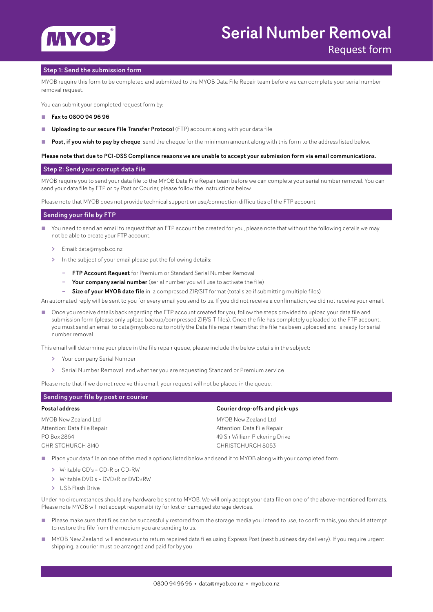## **MYOR**

#### Step 1: Send the submission form

MYOB require this form to be completed and submitted to the MYOB Data File Repair team before we can complete your serial number removal request.

You can submit your completed request form by:

- Fax to 0800 94 96 96
- **Uploading to our secure File Transfer Protocol** (FTP) account along with your data file
- **Post, if you wish to pay by cheque**, send the cheque for the minimum amount along with this form to the address listed below.

#### Please note that due to PCI-DSS Compliance reasons we are unable to accept your submission form via email communications.

#### Step 2: Send your corrupt data file

MYOB require you to send your data file to the MYOB Data File Repair team before we can complete your serial number removal. You can send your data file by FTP or by Post or Courier, please follow the instructions below.

Please note that MYOB does not provide technical support on use/connection difficulties of the FTP account.

#### Sending your file by FTP

- You need to send an email to request that an FTP account be created for you, please note that without the following details we may not be able to create your FTP account.
	- **>** Email: [data@myob.co.nz](mailto:data%40myob.co.nz?subject=FTP%20account%20request%20for%20serial%20number%20removal%20%5BPremium%5D%20or%20%5BStandard%5D%20service%3B%20%5BCompany%20serial%20number%5D%3B%20%5BSize%20of%20MYOB%20data%20file%5D)
	- **>** In the subject of your email please put the following details:
		- **–** FTP Account Request for Premium or Standard Serial Number Removal
		- **–** Your company serial number (serial number you will use to activate the file)
	- **–** Size of your MYOB date file in a compressed ZIP/SIT format (total size if submitting multiple files)

An automated reply will be sent to you for every email you send to us. If you did not receive a confirmation, we did not receive your email.

■ Once you receive details back regarding the FTP account created for you, follow the steps provided to upload your data file and submission form (please only upload backup/compressed ZIP/SIT files). Once the file has completely uploaded to the FTP account, you must send an email to data@myob.co.nz to notify the Data file repair team that the file has been uploaded and is ready for serial number removal.

This email will determine your place in the file repair queue, please include the below details in the subject:

- **>** Your company Serial Number
- **>** Serial Number Removal and whether you are requesting Standard or Premium service

Please note that if we do not receive this email, your request will not be placed in the queue.

| Sending your file by post or courier |  |  |
|--------------------------------------|--|--|
| Courier drop-offs and pick-ups       |  |  |
| MYOB New Zealand Ltd                 |  |  |
| Attention: Data File Repair          |  |  |
| 49 Sir William Pickering Drive       |  |  |
| CHRISTCHURCH 8053                    |  |  |
|                                      |  |  |

■ Place your data file on one of the media options listed below and send it to MYOB along with your completed form:

- **>** Writable CD's CD-R or CD-RW
- **>** Writable DVD's DVD±R or DVD±RW
- **>** USB Flash Drive

Under no circumstances should any hardware be sent to MYOB. We will only accept your data file on one of the above-mentioned formats. Please note MYOB will not accept responsibility for lost or damaged storage devices.

- Please make sure that files can be successfully restored from the storage media you intend to use, to confirm this, you should attempt to restore the file from the medium you are sending to us.
- MYOB New Zealand will endeavour to return repaired data files using Express Post (next business day delivery). If you require urgent shipping, a courier must be arranged and paid for by you